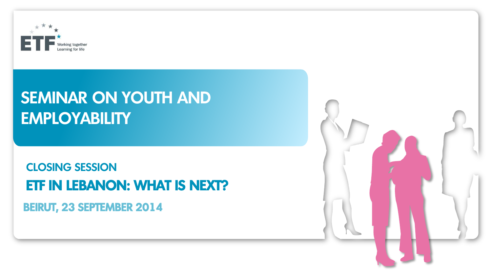

#### SEMINAR ON YOUTH AND **EMPLOYABILITY**

#### CLOSING SESSION ETF IN LEBANON: WHAT IS NEXT? BEIRUT, 23 SEPTEMBER 2014

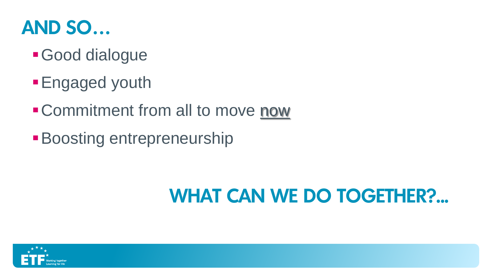

- Good dialogue
- **Engaged youth**
- **Commitment from all to move now**
- **Boosting entrepreneurship**

## WHAT CAN WE DO TOGETHER?...

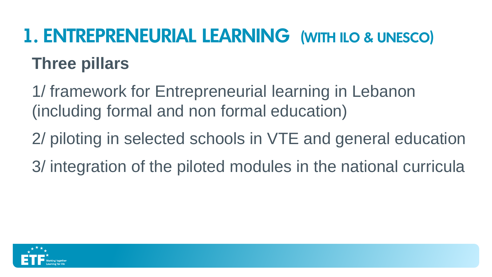# 1. ENTREPRENEURIAL LEARNING (WITH ILO & UNESCO) **Three pillars**

1/ framework for Entrepreneurial learning in Lebanon (including formal and non formal education)

2/ piloting in selected schools in VTE and general education 3/ integration of the piloted modules in the national curricula

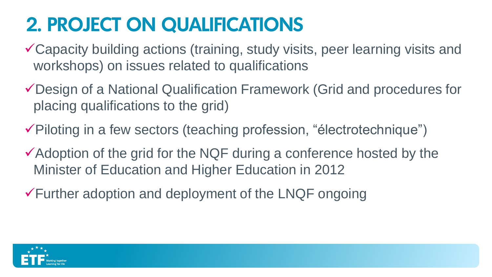### 2. PROJECT ON QUALIFICATIONS

- Capacity building actions (training, study visits, peer learning visits and workshops) on issues related to qualifications
- Design of a National Qualification Framework (Grid and procedures for placing qualifications to the grid)
- $\checkmark$  Piloting in a few sectors (teaching profession, "électrotechnique")
- $\checkmark$  Adoption of the grid for the NQF during a conference hosted by the Minister of Education and Higher Education in 2012
- $\sqrt{\frac{F}{F}}$  Further adoption and deployment of the LNQF ongoing

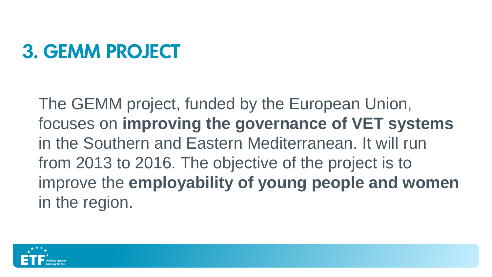# 3. GEMM PROJECT

The GEMM project, funded by the European Union, focuses on **improving the governance of VET systems**  in the Southern and Eastern Mediterranean. It will run from 2013 to 2016. The objective of the project is to improve the **employability of young people and women**  in the region.

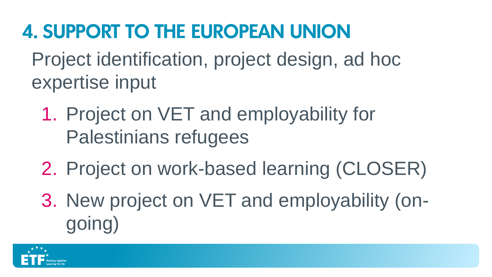## 4. SUPPORT TO THE EUROPEAN UNION

Project identification, project design, ad hoc expertise input

- 1. Project on VET and employability for Palestinians refugees
- 2. Project on work-based learning (CLOSER)
- 3. New project on VET and employability (ongoing)

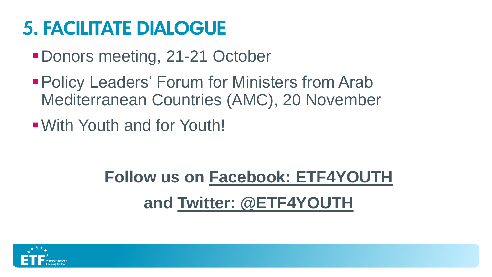### 5. FACILITATE DIALOGUE

- Donors meeting, 21-21 October
- **Policy Leaders' Forum for Ministers from Arab** Mediterranean Countries (AMC), 20 November
- With Youth and for Youth!

## **Follow us on Facebook: ETF4YOUTH and Twitter: @ETF4YOUTH**